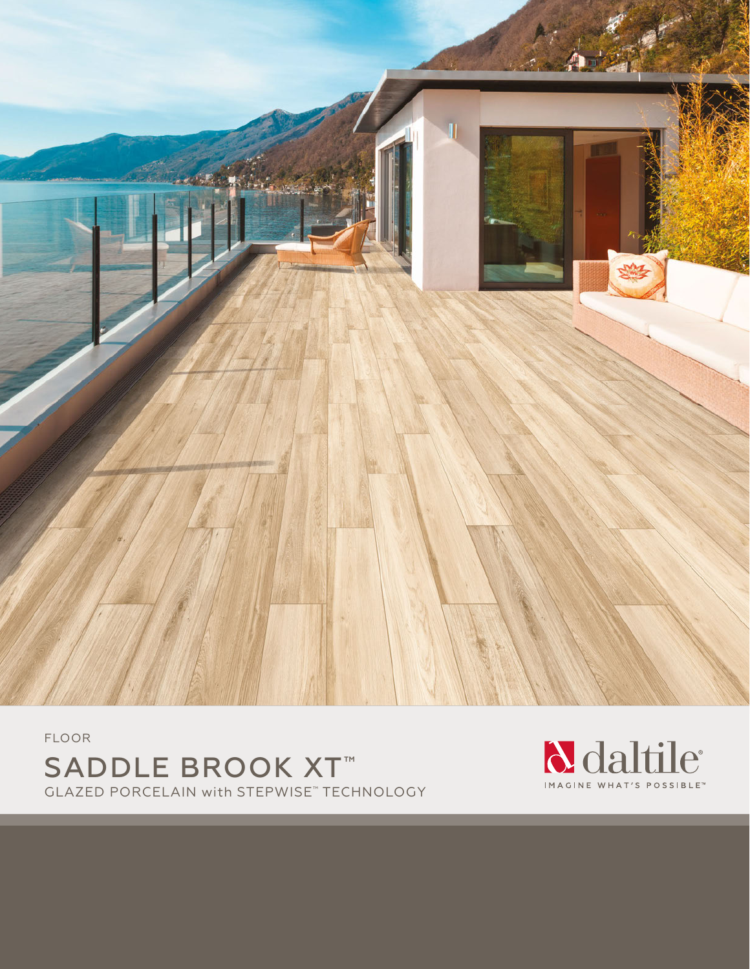

FLOOR SADDLE BROOK XT™ GLAZED PORCELAIN with STEPWISE™ TECHNOLOGY

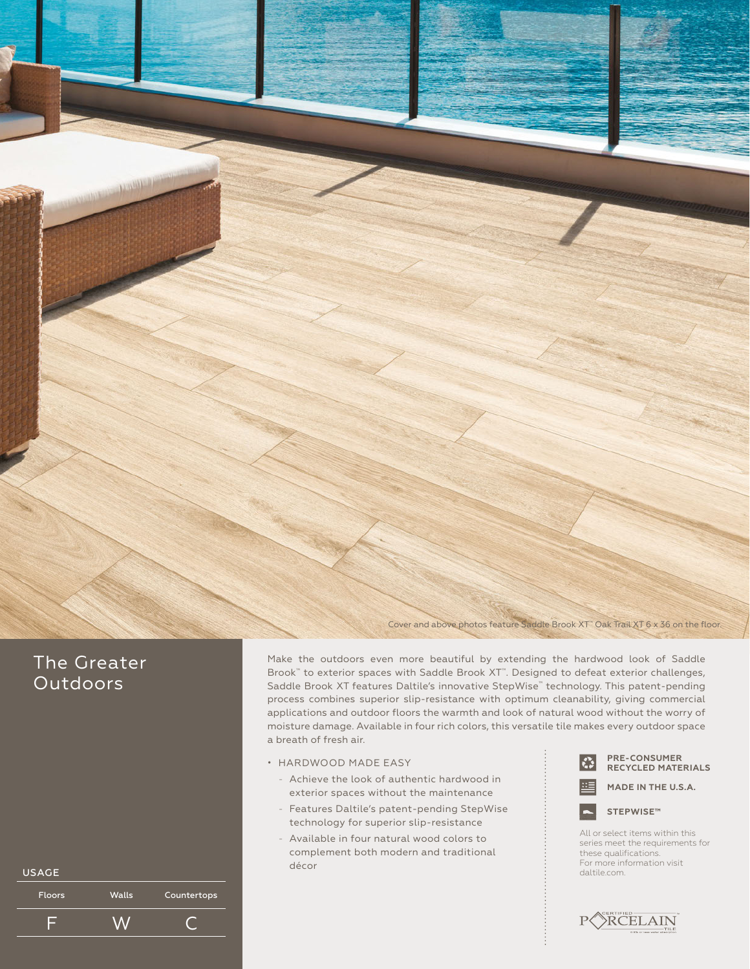

## The Greater **Outdoors**

| <b>USAGE</b>  |       |             | décor |  |
|---------------|-------|-------------|-------|--|
| <b>Floors</b> | Walls | Countertops |       |  |
|               |       |             |       |  |

Make the outdoors even more beautiful by extending the hardwood look of Saddle Brook<sup>™</sup> to exterior spaces with Saddle Brook XT™. Designed to defeat exterior challenges, Saddle Brook XT features Daltile's innovative StepWise<sup>™</sup> technology. This patent-pending process combines superior slip-resistance with optimum cleanability, giving commercial applications and outdoor floors the warmth and look of natural wood without the worry of moisture damage. Available in four rich colors, this versatile tile makes every outdoor space a breath of fresh air.

- HARDWOOD MADE EASY
	- Achieve the look of authentic hardwood in exterior spaces without the maintenance
	- Features Daltile's patent-pending StepWise technology for superior slip-resistance
	- Available in four natural wood colors to complement both modern and traditional décor









All or select items within this series meet the requirements for these qualifications. For more information visit<br>daltile.com.

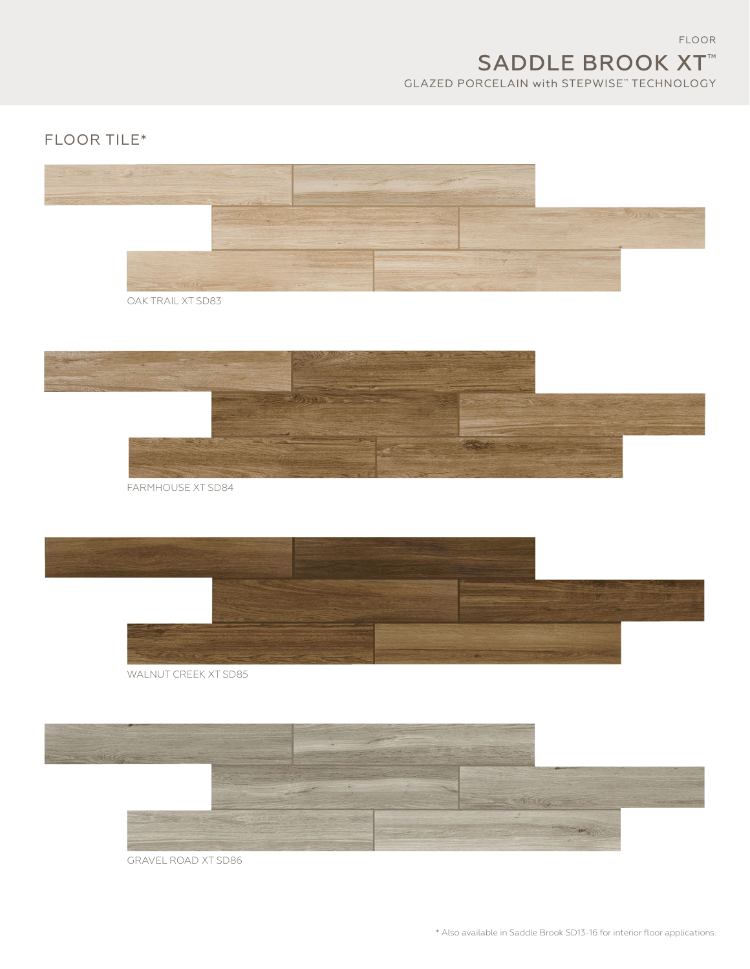FLOOR SADDLE BROOK XT™ GLAZED PORCELAIN with STEPWISE™ TECHNOLOGY

## FLOOR TILE\*



OAK TRAIL XT SD83



FARMHOUSE XT SD84



WALNUT CREEK XT SD85



GRAVEL ROAD XT SD86